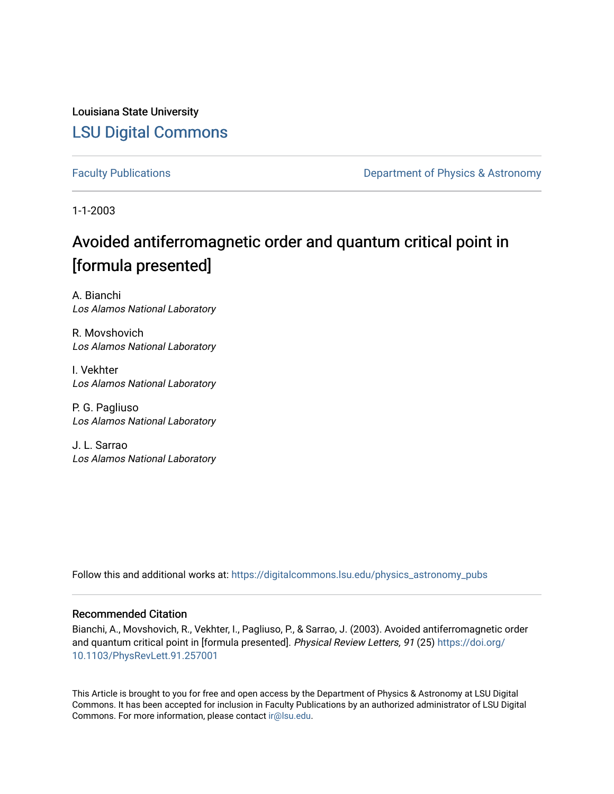Louisiana State University [LSU Digital Commons](https://digitalcommons.lsu.edu/)

[Faculty Publications](https://digitalcommons.lsu.edu/physics_astronomy_pubs) **Exercise 2 and Table 2 and Table 2 and Table 2 and Table 2 and Table 2 and Table 2 and Table 2 and Table 2 and Table 2 and Table 2 and Table 2 and Table 2 and Table 2 and Table 2 and Table 2 and Table** 

1-1-2003

## Avoided antiferromagnetic order and quantum critical point in [formula presented]

A. Bianchi Los Alamos National Laboratory

R. Movshovich Los Alamos National Laboratory

I. Vekhter Los Alamos National Laboratory

P. G. Pagliuso Los Alamos National Laboratory

J. L. Sarrao Los Alamos National Laboratory

Follow this and additional works at: [https://digitalcommons.lsu.edu/physics\\_astronomy\\_pubs](https://digitalcommons.lsu.edu/physics_astronomy_pubs?utm_source=digitalcommons.lsu.edu%2Fphysics_astronomy_pubs%2F5467&utm_medium=PDF&utm_campaign=PDFCoverPages) 

## Recommended Citation

Bianchi, A., Movshovich, R., Vekhter, I., Pagliuso, P., & Sarrao, J. (2003). Avoided antiferromagnetic order and quantum critical point in [formula presented]. Physical Review Letters, 91 (25) [https://doi.org/](https://doi.org/10.1103/PhysRevLett.91.257001) [10.1103/PhysRevLett.91.257001](https://doi.org/10.1103/PhysRevLett.91.257001) 

This Article is brought to you for free and open access by the Department of Physics & Astronomy at LSU Digital Commons. It has been accepted for inclusion in Faculty Publications by an authorized administrator of LSU Digital Commons. For more information, please contact [ir@lsu.edu](mailto:ir@lsu.edu).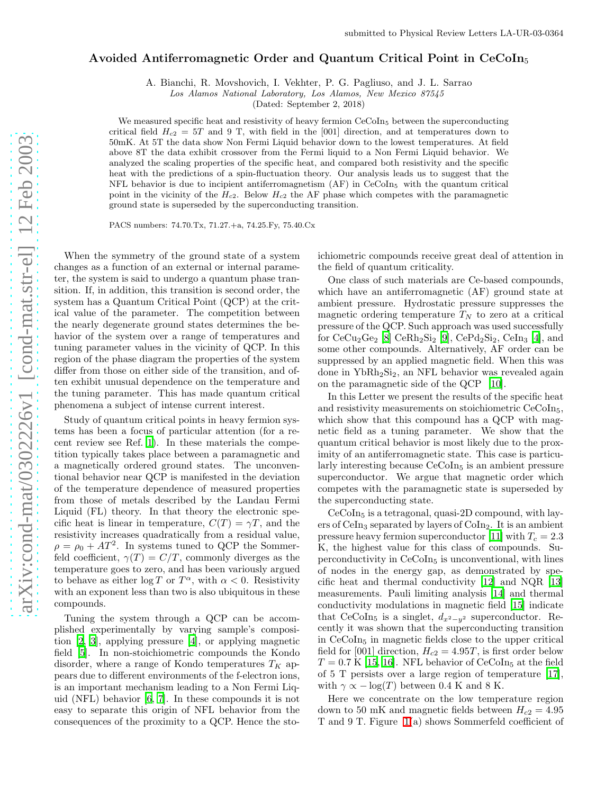## Avoided Antiferromagnetic Order and Quantum Critical Point in  $CeCoIn<sub>5</sub>$

A. Bianchi, R. Movshovich, I. Vekhter, P. G. Pagliuso, and J. L. Sarrao

Los Alamos National Laboratory, Los Alamos, New Mexico 87545

(Dated: September 2, 2018)

We measured specific heat and resistivity of heavy fermion CeCoIn<sub>5</sub> between the superconducting critical field  $H_{c2} = 5T$  and 9 T, with field in the [001] direction, and at temperatures down to 50mK. At 5T the data show Non Fermi Liquid behavior down to the lowest temperatures. At field above 8T the data exhibit crossover from the Fermi liquid to a Non Fermi Liquid behavior. We analyzed the scaling properties of the specific heat, and compared both resistivity and the specific heat with the predictions of a spin-fluctuation theory. Our analysis leads us to suggest that the NFL behavior is due to incipient antiferromagnetism  $(AF)$  in  $CeCoIn<sub>5</sub>$  with the quantum critical point in the vicinity of the  $H_{c2}$ . Below  $H_{c2}$  the AF phase which competes with the paramagnetic ground state is superseded by the superconducting transition.

PACS numbers: 74.70.Tx, 71.27.+a, 74.25.Fy, 75.40.Cx

When the symmetry of the ground state of a system changes as a function of an external or internal parameter, the system is said to undergo a quantum phase transition. If, in addition, this transition is second order, the system has a Quantum Critical Point (QCP) at the critical value of the parameter. The competition between the nearly degenerate ground states determines the behavior of the system over a range of temperatures and tuning parameter values in the vicinity of QCP. In this region of the phase diagram the properties of the system differ from those on either side of the transition, and often exhibit unusual dependence on the temperature and the tuning parameter. This has made quantum critical phenomena a subject of intense current interest.

Study of quantum critical points in heavy fermion systems has been a focus of particular attention (for a recent review see Ref. [1](#page-4-0)). In these materials the competition typically takes place between a paramagnetic and a magnetically ordered ground states. The unconventional behavior near QCP is manifested in the deviation of the temperature dependence of measured properties from those of metals described by the Landau Fermi Liquid (FL) theory. In that theory the electronic specific heat is linear in temperature,  $C(T) = \gamma T$ , and the resistivity increases quadratically from a residual value,  $\rho = \rho_0 + AT^2$ . In systems tuned to QCP the Sommerfeld coefficient,  $\gamma(T) = C/T$ , commonly diverges as the temperature goes to zero, and has been variously argued to behave as either  $\log T$  or  $T^{\alpha}$ , with  $\alpha < 0$ . Resistivity with an exponent less than two is also ubiquitous in these compounds.

Tuning the system through a QCP can be accomplished experimentally by varying sample's composition [\[2](#page-4-1), [3\]](#page-4-2), applying pressure [\[4\]](#page-4-3), or applying magnetic field [\[5\]](#page-4-4). In non-stoichiometric compounds the Kondo disorder, where a range of Kondo temperatures  $T_K$  appears due to different environments of the f-electron ions, is an important mechanism leading to a Non Fermi Liquid (NFL) behavior [\[6,](#page-4-5) [7\]](#page-4-6). In these compounds it is not easy to separate this origin of NFL behavior from the consequences of the proximity to a QCP. Hence the stoichiometric compounds receive great deal of attention in the field of quantum criticality.

One class of such materials are Ce-based compounds, which have an antiferromagnetic (AF) ground state at ambient pressure. Hydrostatic pressure suppresses the magnetic ordering temperature  $T_N$  to zero at a critical pressure of the QCP. Such approach was used successfully for  $CeCu<sub>2</sub>Ge<sub>2</sub>$  [\[8](#page-4-7)]  $CeRh<sub>2</sub>Si<sub>2</sub>$  [\[9](#page-4-8)],  $CePd<sub>2</sub>Si<sub>2</sub>$ ,  $CeIn<sub>3</sub>$  [\[4\]](#page-4-3), and some other compounds. Alternatively, AF order can be suppressed by an applied magnetic field. When this was done in YbRh2Si2, an NFL behavior was revealed again on the paramagnetic side of the QCP [\[10\]](#page-4-9).

In this Letter we present the results of the specific heat and resistivity measurements on stoichiometric CeCoIn<sub>5</sub>, which show that this compound has a QCP with magnetic field as a tuning parameter. We show that the quantum critical behavior is most likely due to the proximity of an antiferromagnetic state. This case is particularly interesting because  $CeCoIn<sub>5</sub>$  is an ambient pressure superconductor. We argue that magnetic order which competes with the paramagnetic state is superseded by the superconducting state.

 $CeCoIn<sub>5</sub>$  is a tetragonal, quasi-2D compound, with layers of  $CeIn<sub>3</sub>$  separated by layers of  $CoIn<sub>2</sub>$ . It is an ambient pressure heavy fermion superconductor [\[11\]](#page-4-10) with  $T_c = 2.3$ K, the highest value for this class of compounds. Superconductivity in  $CeCoIn<sub>5</sub>$  is unconventional, with lines of nodes in the energy gap, as demonstrated by specific heat and thermal conductivity [\[12\]](#page-4-11) and NQR [\[13](#page-4-12)] measurements. Pauli limiting analysis [\[14\]](#page-4-13) and thermal conductivity modulations in magnetic field [\[15](#page-4-14)] indicate that CeCoIn<sub>5</sub> is a singlet,  $d_{x^2-y^2}$  superconductor. Recently it was shown that the superconducting transition in CeCoIn5 in magnetic fields close to the upper critical field for [001] direction,  $H_{c2} = 4.95T$ , is first order below  $T = 0.7$  K [\[15](#page-4-14), [16\]](#page-4-15). NFL behavior of CeCoIn<sub>5</sub> at the field of 5 T persists over a large region of temperature [\[17\]](#page-4-16), with  $\gamma \propto -\log(T)$  between 0.4 K and 8 K.

Here we concentrate on the low temperature region down to 50 mK and magnetic fields between  $H_{c2} = 4.95$ T and 9 T. Figure [1\(](#page-2-0)a) shows Sommerfeld coefficient of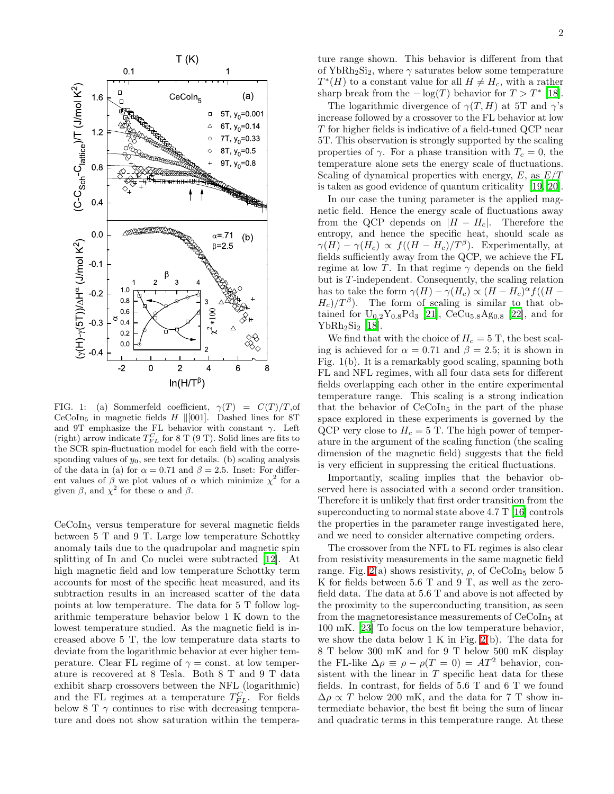

<span id="page-2-0"></span>FIG. 1: (a) Sommerfeld coefficient,  $\gamma(T) = C(T)/T$ , of CeCoIn<sub>5</sub> in magnetic fields  $H$  ||[001]. Dashed lines for 8T and 9T emphasize the FL behavior with constant  $\gamma$ . Left (right) arrow indicate  $T_{FL}^C$  for 8 T (9 T). Solid lines are fits to the SCR spin-fluctuation model for each field with the corresponding values of  $y_0$ , see text for details. (b) scaling analysis of the data in (a) for  $\alpha = 0.71$  and  $\beta = 2.5$ . Inset: For different values of  $\beta$  we plot values of  $\alpha$  which minimize  $\chi^2$  for a given  $\beta$ , and  $\chi^2$  for these  $\alpha$  and  $\beta$ .

CeCoIn<sup>5</sup> versus temperature for several magnetic fields between 5 T and 9 T. Large low temperature Schottky anomaly tails due to the quadrupolar and magnetic spin splitting of In and Co nuclei were subtracted [\[12\]](#page-4-11). At high magnetic field and low temperature Schottky term accounts for most of the specific heat measured, and its subtraction results in an increased scatter of the data points at low temperature. The data for 5 T follow logarithmic temperature behavior below 1 K down to the lowest temperature studied. As the magnetic field is increased above 5 T, the low temperature data starts to deviate from the logarithmic behavior at ever higher temperature. Clear FL regime of  $\gamma = \text{const.}$  at low temperature is recovered at 8 Tesla. Both 8 T and 9 T data exhibit sharp crossovers between the NFL (logarithmic) and the FL regimes at a temperature  $T_{FL}^C$ . For fields below 8 T  $\gamma$  continues to rise with decreasing temperature and does not show saturation within the temperature range shown. This behavior is different from that of YbRh<sub>2</sub>Si<sub>2</sub>, where  $\gamma$  saturates below some temperature  $T^*(H)$  to a constant value for all  $H \neq H_c$ , with a rather sharp break from the  $-\log(T)$  behavior for  $T > T^*$  [\[18\]](#page-4-17).

The logarithmic divergence of  $\gamma(T, H)$  at 5T and  $\gamma$ 's increase followed by a crossover to the FL behavior at low T for higher fields is indicative of a field-tuned QCP near 5T. This observation is strongly supported by the scaling properties of  $\gamma$ . For a phase transition with  $T_c = 0$ , the temperature alone sets the energy scale of fluctuations. Scaling of dynamical properties with energy,  $E$ , as  $E/T$ is taken as good evidence of quantum criticality [\[19,](#page-5-0) [20\]](#page-5-1).

In our case the tuning parameter is the applied magnetic field. Hence the energy scale of fluctuations away from the QCP depends on  $|H - H_c|$ . Therefore the entropy, and hence the specific heat, should scale as  $\gamma(H) - \gamma(H_c) \propto f((H - H_c)/T^{\beta}).$  Experimentally, at fields sufficiently away from the QCP, we achieve the FL regime at low T. In that regime  $\gamma$  depends on the field but is T -independent. Consequently, the scaling relation has to take the form  $\gamma(H) - \gamma(H_c) \propto (H - H_c)^{\alpha} f((H H_c$ )/ $T^{\beta}$ ). The form of scaling is similar to that obtained for  $U_{0.2}Y_{0.8}Pd_3$  [\[21\]](#page-5-2),  $CeCu_{5.8}Ag_{0.8}$  [\[22\]](#page-5-3), and for  $YbRh<sub>2</sub>Si<sub>2</sub>$  [\[18](#page-4-17)].

We find that with the choice of  $H_c = 5$  T, the best scaling is achieved for  $\alpha = 0.71$  and  $\beta = 2.5$ ; it is shown in Fig. 1(b). It is a remarkably good scaling, spanning both FL and NFL regimes, with all four data sets for different fields overlapping each other in the entire experimental temperature range. This scaling is a strong indication that the behavior of  $CeCoIn<sub>5</sub>$  in the part of the phase space explored in these experiments is governed by the QCP very close to  $H_c = 5$  T. The high power of temperature in the argument of the scaling function (the scaling dimension of the magnetic field) suggests that the field is very efficient in suppressing the critical fluctuations.

Importantly, scaling implies that the behavior observed here is associated with a second order transition. Therefore it is unlikely that first order transition from the superconducting to normal state above 4.7 T [\[16\]](#page-4-15) controls the properties in the parameter range investigated here, and we need to consider alternative competing orders.

The crossover from the NFL to FL regimes is also clear from resistivity measurements in the same magnetic field range. Fig. [2\(](#page-3-0)a) shows resistivity,  $\rho$ , of CeCoIn<sub>5</sub> below 5 K for fields between 5.6 T and 9 T, as well as the zerofield data. The data at 5.6 T and above is not affected by the proximity to the superconducting transition, as seen from the magnetoresistance measurements of  $CeCoIn<sub>5</sub>$  at 100 mK. [\[23](#page-5-4)] To focus on the low temperature behavior, we show the data below 1 K in Fig. [2\(](#page-3-0)b). The data for 8 T below 300 mK and for 9 T below 500 mK display the FL-like  $\Delta \rho \equiv \rho - \rho (T = 0) = AT^2$  behavior, consistent with the linear in  $T$  specific heat data for these fields. In contrast, for fields of 5.6 T and 6 T we found  $\Delta \rho \propto T$  below 200 mK, and the data for 7 T show intermediate behavior, the best fit being the sum of linear and quadratic terms in this temperature range. At these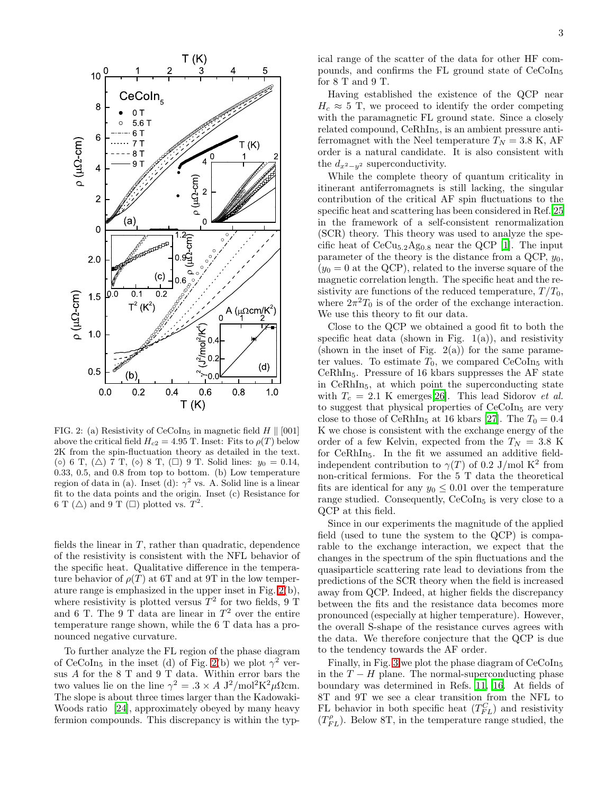

<span id="page-3-0"></span>FIG. 2: (a) Resistivity of CeCoIn<sub>5</sub> in magnetic field  $H \parallel [001]$ above the critical field  $H_{c2} = 4.95$  T. Inset: Fits to  $\rho(T)$  below 2K from the spin-fluctuation theory as detailed in the text. (◦) 6 T, (△) 7 T, (◦) 8 T, (□) 9 T. Solid lines:  $y_0 = 0.14$ , 0.33, 0.5, and 0.8 from top to bottom. (b) Low temperature region of data in (a). Inset (d):  $\gamma^2$  vs. A. Solid line is a linear fit to the data points and the origin. Inset (c) Resistance for 6 T ( $\triangle$ ) and 9 T ( $\square$ ) plotted vs.  $T^2$ .

fields the linear in  $T$ , rather than quadratic, dependence of the resistivity is consistent with the NFL behavior of the specific heat. Qualitative difference in the temperature behavior of  $\rho(T)$  at 6T and at 9T in the low temperature range is emphasized in the upper inset in Fig. [2\(](#page-3-0)b), where resistivity is plotted versus  $T^2$  for two fields, 9 T and 6 T. The  $9$  T data are linear in  $T^2$  over the entire temperature range shown, while the 6 T data has a pronounced negative curvature.

To further analyze the FL region of the phase diagram of CeCoIn<sub>5</sub> in the inset (d) of Fig. [2\(](#page-3-0)b) we plot  $\gamma^2$  versus A for the 8 T and 9 T data. Within error bars the two values lie on the line  $\gamma^2 = .3 \times A \frac{\mathrm{J}^2}{\mathrm{mol}^2 \mathrm{K}^2 \mu \Omega \mathrm{cm}}$ . The slope is about three times larger than the Kadowaki-Woods ratio [\[24\]](#page-5-5), approximately obeyed by many heavy fermion compounds. This discrepancy is within the typical range of the scatter of the data for other HF compounds, and confirms the FL ground state of CeCoIn5 for 8 T and 9 T.

Having established the existence of the QCP near  $H_c \approx 5$  T, we proceed to identify the order competing with the paramagnetic FL ground state. Since a closely related compound, CeRhIn<sub>5</sub>, is an ambient pressure antiferromagnet with the Neel temperature  $T_N = 3.8$  K, AF order is a natural candidate. It is also consistent with the  $d_{x^2-y^2}$  superconductivity.

While the complete theory of quantum criticality in itinerant antiferromagnets is still lacking, the singular contribution of the critical AF spin fluctuations to the specific heat and scattering has been considered in Ref. [25](#page-5-6) in the framework of a self-consistent renormalization (SCR) theory. This theory was used to analyze the specific heat of  $CeCu_{5,2}Ag_{0,8}$  near the QCP [\[1](#page-4-0)]. The input parameter of the theory is the distance from a QCP,  $y_0$ ,  $(y_0 = 0$  at the QCP), related to the inverse square of the magnetic correlation length. The specific heat and the resistivity are functions of the reduced temperature,  $T/T_0$ , where  $2\pi^2T_0$  is of the order of the exchange interaction. We use this theory to fit our data.

Close to the QCP we obtained a good fit to both the specific heat data (shown in Fig.  $1(a)$ ), and resistivity (shown in the inset of Fig.  $2(a)$ ) for the same parameter values. To estimate  $T_0$ , we compared CeCoIn<sub>5</sub> with CeRhIn5. Pressure of 16 kbars suppresses the AF state in CeRhIn5, at which point the superconducting state with  $T_c = 2.1$  K emerges[\[26\]](#page-5-7). This lead Sidorov et al. to suggest that physical properties of CeCoIn<sub>5</sub> are very close to those of CeRhIn<sub>5</sub> at 16 kbars [\[27\]](#page-5-8). The  $T_0 = 0.4$ K we chose is consistent with the exchange energy of the order of a few Kelvin, expected from the  $T_N = 3.8$  K for CeRhIn5. In the fit we assumed an additive fieldindependent contribution to  $\gamma(T)$  of 0.2 J/mol K<sup>2</sup> from non-critical fermions. For the 5 T data the theoretical fits are identical for any  $y_0 \leq 0.01$  over the temperature range studied. Consequently, CeCoIn<sub>5</sub> is very close to a QCP at this field.

Since in our experiments the magnitude of the applied field (used to tune the system to the QCP) is comparable to the exchange interaction, we expect that the changes in the spectrum of the spin fluctuations and the quasiparticle scattering rate lead to deviations from the predictions of the SCR theory when the field is increased away from QCP. Indeed, at higher fields the discrepancy between the fits and the resistance data becomes more pronounced (especially at higher temperature). However, the overall S-shape of the resistance curves agrees with the data. We therefore conjecture that the QCP is due to the tendency towards the AF order.

Finally, in Fig. [3](#page-4-18) we plot the phase diagram of CeCoIn<sub>5</sub> in the  $T - H$  plane. The normal-superconducting phase boundary was determined in Refs. [11,](#page-4-10) [16.](#page-4-15) At fields of 8T and 9T we see a clear transition from the NFL to FL behavior in both specific heat  $(T_{FL}^C)$  and resistivity  $(T_{FL}^{\rho})$ . Below 8T, in the temperature range studied, the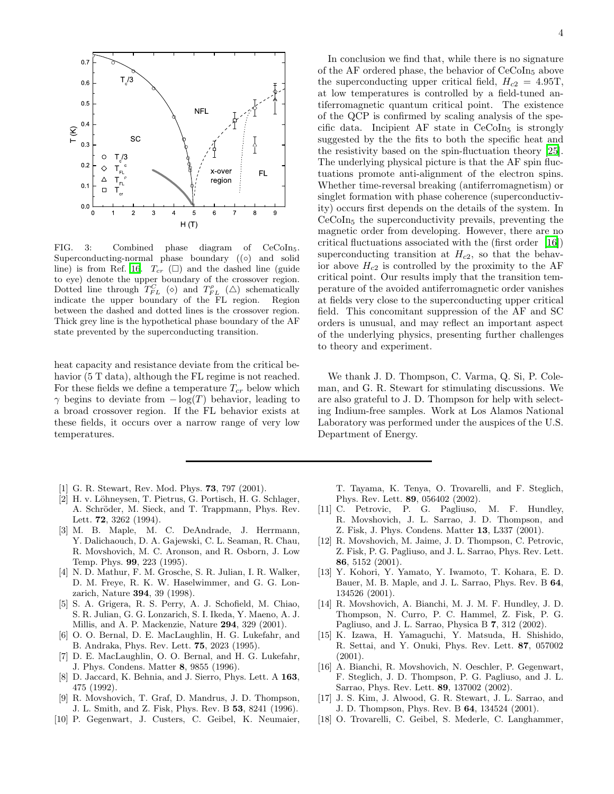

<span id="page-4-18"></span>FIG. 3: Combined phase diagram of CeCoIn5. Superconducting-normal phase boundary ((○) and solid line) is from Ref. [16.](#page-4-15)  $T_{cr}$  ( $\square$ ) and the dashed line (guide to eye) denote the upper boundary of the crossover region. Dotted line through  $T_{FL}^{C}$  ( $\diamond$ ) and  $T_{FL}^{P}$  ( $\triangle$ ) schematically indicate the upper boundary of the FL region. Region between the dashed and dotted lines is the crossover region. Thick grey line is the hypothetical phase boundary of the AF state prevented by the superconducting transition.

heat capacity and resistance deviate from the critical behavior (5 T data), although the FL regime is not reached. For these fields we define a temperature  $T_{cr}$  below which  $\gamma$  begins to deviate from  $-\log(T)$  behavior, leading to a broad crossover region. If the FL behavior exists at these fields, it occurs over a narrow range of very low temperatures.

- <span id="page-4-0"></span>[1] G. R. Stewart, Rev. Mod. Phys. 73, 797 (2001).
- <span id="page-4-1"></span>[2] H. v. Löhneysen, T. Pietrus, G. Portisch, H. G. Schlager, A. Schröder, M. Sieck, and T. Trappmann, Phys. Rev. Lett. 72, 3262 (1994).
- <span id="page-4-2"></span>[3] M. B. Maple, M. C. DeAndrade, J. Herrmann, Y. Dalichaouch, D. A. Gajewski, C. L. Seaman, R. Chau, R. Movshovich, M. C. Aronson, and R. Osborn, J. Low Temp. Phys. 99, 223 (1995).
- <span id="page-4-3"></span>[4] N. D. Mathur, F. M. Grosche, S. R. Julian, I. R. Walker, D. M. Freye, R. K. W. Haselwimmer, and G. G. Lonzarich, Nature 394, 39 (1998).
- <span id="page-4-4"></span>[5] S. A. Grigera, R. S. Perry, A. J. Schofield, M. Chiao, S. R. Julian, G. G. Lonzarich, S. I. Ikeda, Y. Maeno, A. J. Millis, and A. P. Mackenzie, Nature 294, 329 (2001).
- <span id="page-4-5"></span>[6] O. O. Bernal, D. E. MacLaughlin, H. G. Lukefahr, and B. Andraka, Phys. Rev. Lett. 75, 2023 (1995).
- <span id="page-4-6"></span>[7] D. E. MacLaughlin, O. O. Bernal, and H. G. Lukefahr, J. Phys. Condens. Matter 8, 9855 (1996).
- <span id="page-4-7"></span>[8] D. Jaccard, K. Behnia, and J. Sierro, Phys. Lett. A 163, 475 (1992).
- <span id="page-4-8"></span>[9] R. Movshovich, T. Graf, D. Mandrus, J. D. Thompson, J. L. Smith, and Z. Fisk, Phys. Rev. B 53, 8241 (1996).
- <span id="page-4-9"></span>[10] P. Gegenwart, J. Custers, C. Geibel, K. Neumaier,

In conclusion we find that, while there is no signature of the AF ordered phase, the behavior of CeCoIn5 above the superconducting upper critical field,  $H_{c2} = 4.95$ T, at low temperatures is controlled by a field-tuned antiferromagnetic quantum critical point. The existence of the QCP is confirmed by scaling analysis of the specific data. Incipient AF state in  $CeCoIn<sub>5</sub>$  is strongly suggested by the the fits to both the specific heat and the resistivity based on the spin-fluctuation theory [\[25\]](#page-5-6). The underlying physical picture is that the AF spin fluctuations promote anti-alignment of the electron spins. Whether time-reversal breaking (antiferromagnetism) or singlet formation with phase coherence (superconductivity) occurs first depends on the details of the system. In CeCoIn5 the superconductivity prevails, preventing the magnetic order from developing. However, there are no critical fluctuations associated with the (first order [\[16\]](#page-4-15)) superconducting transition at  $H_{c2}$ , so that the behavior above  $H_{c2}$  is controlled by the proximity to the AF critical point. Our results imply that the transition temperature of the avoided antiferromagnetic order vanishes at fields very close to the superconducting upper critical field. This concomitant suppression of the AF and SC orders is unusual, and may reflect an important aspect of the underlying physics, presenting further challenges to theory and experiment.

We thank J. D. Thompson, C. Varma, Q. Si, P. Coleman, and G. R. Stewart for stimulating discussions. We are also grateful to J. D. Thompson for help with selecting Indium-free samples. Work at Los Alamos National Laboratory was performed under the auspices of the U.S. Department of Energy.

T. Tayama, K. Tenya, O. Trovarelli, and F. Steglich, Phys. Rev. Lett. 89, 056402 (2002).

- <span id="page-4-10"></span>[11] C. Petrovic, P. G. Pagliuso, M. F. Hundley, R. Movshovich, J. L. Sarrao, J. D. Thompson, and Z. Fisk, J. Phys. Condens. Matter 13, L337 (2001).
- <span id="page-4-11"></span>[12] R. Movshovich, M. Jaime, J. D. Thompson, C. Petrovic, Z. Fisk, P. G. Pagliuso, and J. L. Sarrao, Phys. Rev. Lett. 86, 5152 (2001).
- <span id="page-4-12"></span>[13] Y. Kohori, Y. Yamato, Y. Iwamoto, T. Kohara, E. D. Bauer, M. B. Maple, and J. L. Sarrao, Phys. Rev. B 64, 134526 (2001).
- <span id="page-4-13"></span>[14] R. Movshovich, A. Bianchi, M. J. M. F. Hundley, J. D. Thompson, N. Curro, P. C. Hammel, Z. Fisk, P. G. Pagliuso, and J. L. Sarrao, Physica B 7, 312 (2002).
- <span id="page-4-14"></span>[15] K. Izawa, H. Yamaguchi, Y. Matsuda, H. Shishido, R. Settai, and Y. Onuki, Phys. Rev. Lett. 87, 057002 (2001).
- <span id="page-4-15"></span>[16] A. Bianchi, R. Movshovich, N. Oeschler, P. Gegenwart, F. Steglich, J. D. Thompson, P. G. Pagliuso, and J. L. Sarrao, Phys. Rev. Lett. 89, 137002 (2002).
- <span id="page-4-16"></span>[17] J. S. Kim, J. Alwood, G. R. Stewart, J. L. Sarrao, and J. D. Thompson, Phys. Rev. B 64, 134524 (2001).
- <span id="page-4-17"></span>[18] O. Trovarelli, C. Geibel, S. Mederle, C. Langhammer,